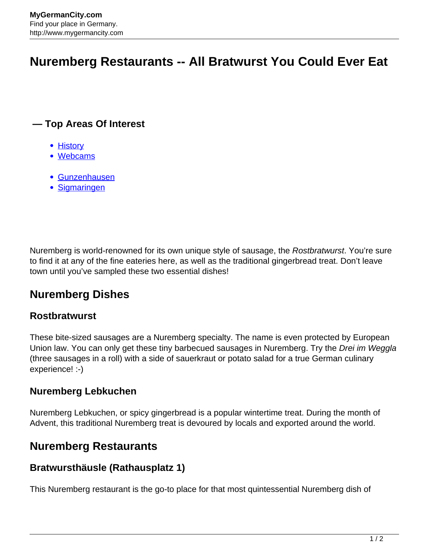# **Nuremberg Restaurants -- All Bratwurst You Could Ever Eat**

### **— Top Areas Of Interest**

- [History](http://www.mygermancity.com/leipzig-history)
- [Webcams](http://www.mygermancity.com/neustadt-holstein-webcams)
- [Gunzenhausen](http://www.mygermancity.com/gunzenhausen)
- [Sigmaringen](http://www.mygermancity.com/sigmaringen)

Nuremberg is world-renowned for its own unique style of sausage, the Rostbratwurst. You're sure to find it at any of the fine eateries here, as well as the traditional gingerbread treat. Don't leave town until you've sampled these two essential dishes!

## **Nuremberg Dishes**

### **Rostbratwurst**

These bite-sized sausages are a Nuremberg specialty. The name is even protected by European Union law. You can only get these tiny barbecued sausages in Nuremberg. Try the Drei im Weggla (three sausages in a roll) with a side of sauerkraut or potato salad for a true German culinary experience! :-)

### **Nuremberg Lebkuchen**

Nuremberg Lebkuchen, or spicy gingerbread is a popular wintertime treat. During the month of Advent, this traditional Nuremberg treat is devoured by locals and exported around the world.

### **Nuremberg Restaurants**

### **Bratwursthäusle (Rathausplatz 1)**

This Nuremberg restaurant is the go-to place for that most quintessential Nuremberg dish of